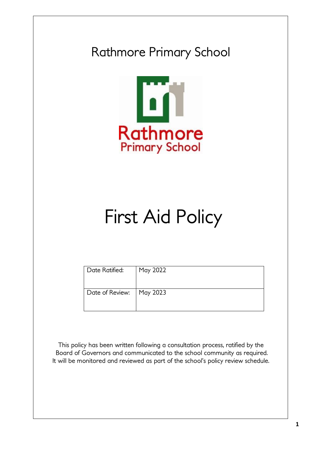## Rathmore Primary School



# First Aid Policy

| Date Ratified:             | May 2022 |
|----------------------------|----------|
| Date of Review:   May 2023 |          |

This policy has been written following a consultation process, ratified by the Board of Governors and communicated to the school community as required. It will be monitored and reviewed as part of the school's policy review schedule.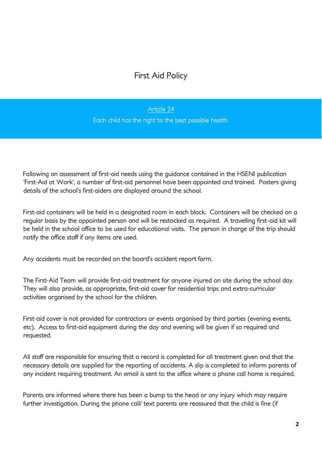### First Aid Policy

#### Article 24

Each child has the right to the best possible health.

Following an assessment of first-aid needs using the guidance contained in the HSENI publication 'First-Aid at Work', a number of first-aid personnel have been appointed and trained. Posters giving details of the school's first-aiders are displayed around the school.

First-aid containers will be held in a designated room in each block. Containers will be checked on a regular basis by the appointed person and will be restocked as required. A travelling first-aid kit will be held in the school office to be used for educational visits. The person in charge of the trip should notify the office staff if any items are used.

Any accidents must be recorded on the board's accident report form.

The First-Aid Team will provide first-aid treatment for anyone injured on site during the school day. They will also provide, as appropriate, first-aid cover for residential trips and extra-curricular activities organised by the school for the children.

First-aid cover is not provided for contractors or events organised by third parties (evening events, etc). Access to first-aid equipment during the day and evening will be given if so required and requested.

All staff are responsible for ensuring that a record is completed for all treatment given and that the necessary details are supplied for the reporting of accidents. A slip is completed to inform parents of any incident requiring treatment. An email is sent to the office where a phone call home is required.

Parents are informed where there has been a bump to the head or any injury which may require further investigation. During the phone call/ text parents are reassured that the child is fine (if